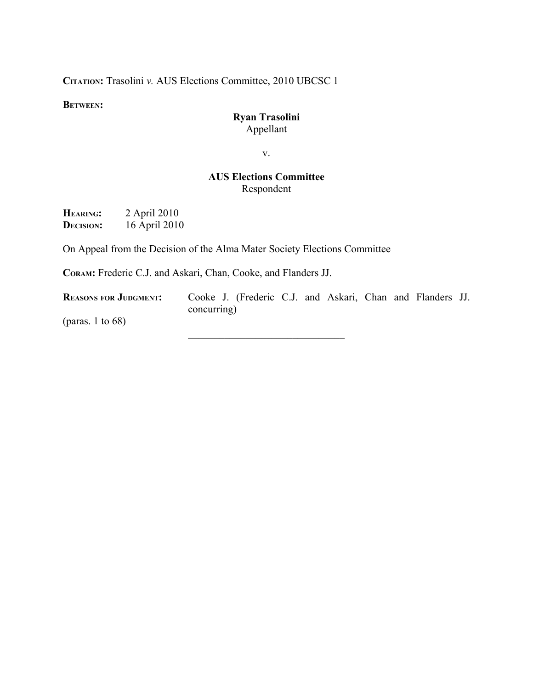**CITATION:** Trasolini *v.* AUS Elections Committee, 2010 UBCSC 1

**BETWEEN:**

#### **Ryan Trasolini** Appellant

v.

#### **AUS Elections Committee** Respondent

 $\mathcal{L}_\text{max}$  , where  $\mathcal{L}_\text{max}$  and  $\mathcal{L}_\text{max}$  and  $\mathcal{L}_\text{max}$ 

**HEARING:** 2 April 2010 **DECISION:** 16 April 2010

On Appeal from the Decision of the Alma Mater Society Elections Committee

**CORAM:** Frederic C.J. and Askari, Chan, Cooke, and Flanders JJ.

**REASONS FOR JUDGMENT:** Cooke J. (Frederic C.J. and Askari, Chan and Flanders JJ. concurring)

(paras. 1 to 68)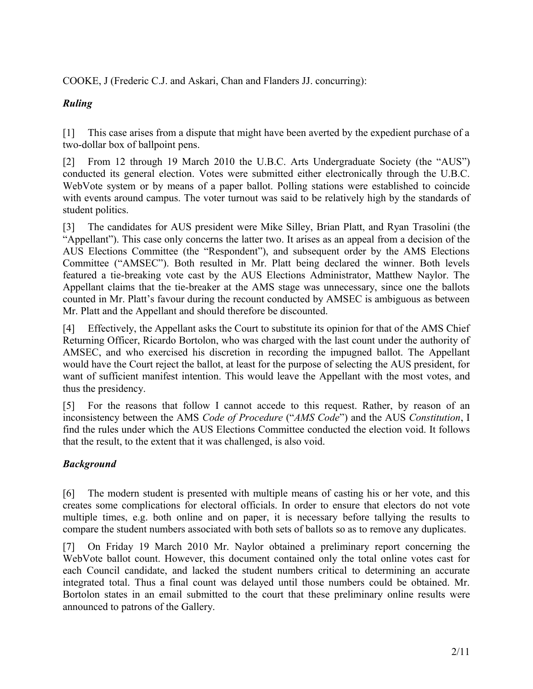COOKE, J (Frederic C.J. and Askari, Chan and Flanders JJ. concurring):

# *Ruling*

[1] This case arises from a dispute that might have been averted by the expedient purchase of a two-dollar box of ballpoint pens.

[2] From 12 through 19 March 2010 the U.B.C. Arts Undergraduate Society (the "AUS") conducted its general election. Votes were submitted either electronically through the U.B.C. WebVote system or by means of a paper ballot. Polling stations were established to coincide with events around campus. The voter turnout was said to be relatively high by the standards of student politics.

[3] The candidates for AUS president were Mike Silley, Brian Platt, and Ryan Trasolini (the "Appellant"). This case only concerns the latter two. It arises as an appeal from a decision of the AUS Elections Committee (the "Respondent"), and subsequent order by the AMS Elections Committee ("AMSEC"). Both resulted in Mr. Platt being declared the winner. Both levels featured a tie-breaking vote cast by the AUS Elections Administrator, Matthew Naylor. The Appellant claims that the tie-breaker at the AMS stage was unnecessary, since one the ballots counted in Mr. Platt's favour during the recount conducted by AMSEC is ambiguous as between Mr. Platt and the Appellant and should therefore be discounted.

[4] Effectively, the Appellant asks the Court to substitute its opinion for that of the AMS Chief Returning Officer, Ricardo Bortolon, who was charged with the last count under the authority of AMSEC, and who exercised his discretion in recording the impugned ballot. The Appellant would have the Court reject the ballot, at least for the purpose of selecting the AUS president, for want of sufficient manifest intention. This would leave the Appellant with the most votes, and thus the presidency.

[5] For the reasons that follow I cannot accede to this request. Rather, by reason of an inconsistency between the AMS *Code of Procedure* ("*AMS Code*") and the AUS *Constitution*, I find the rules under which the AUS Elections Committee conducted the election void. It follows that the result, to the extent that it was challenged, is also void.

## *Background*

[6] The modern student is presented with multiple means of casting his or her vote, and this creates some complications for electoral officials. In order to ensure that electors do not vote multiple times, e.g. both online and on paper, it is necessary before tallying the results to compare the student numbers associated with both sets of ballots so as to remove any duplicates.

[7] On Friday 19 March 2010 Mr. Naylor obtained a preliminary report concerning the WebVote ballot count. However, this document contained only the total online votes cast for each Council candidate, and lacked the student numbers critical to determining an accurate integrated total. Thus a final count was delayed until those numbers could be obtained. Mr. Bortolon states in an email submitted to the court that these preliminary online results were announced to patrons of the Gallery.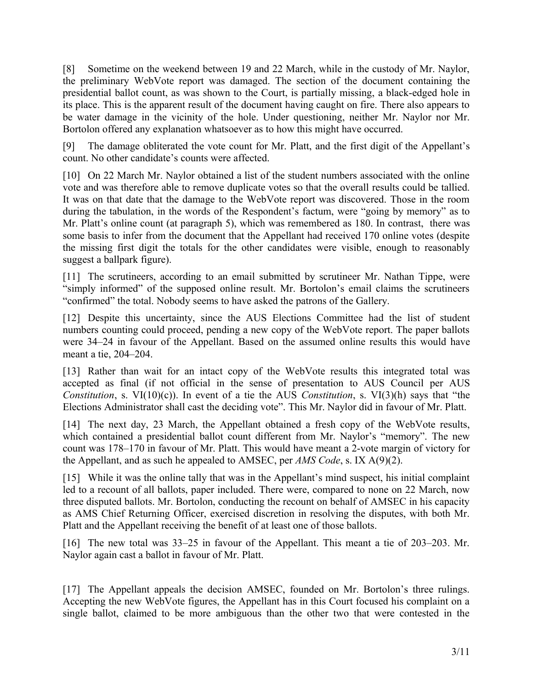[8] Sometime on the weekend between 19 and 22 March, while in the custody of Mr. Naylor, the preliminary WebVote report was damaged. The section of the document containing the presidential ballot count, as was shown to the Court, is partially missing, a black-edged hole in its place. This is the apparent result of the document having caught on fire. There also appears to be water damage in the vicinity of the hole. Under questioning, neither Mr. Naylor nor Mr. Bortolon offered any explanation whatsoever as to how this might have occurred.

[9] The damage obliterated the vote count for Mr. Platt, and the first digit of the Appellant's count. No other candidate's counts were affected.

[10] On 22 March Mr. Naylor obtained a list of the student numbers associated with the online vote and was therefore able to remove duplicate votes so that the overall results could be tallied. It was on that date that the damage to the WebVote report was discovered. Those in the room during the tabulation, in the words of the Respondent's factum, were "going by memory" as to Mr. Platt's online count (at paragraph 5), which was remembered as 180. In contrast, there was some basis to infer from the document that the Appellant had received 170 online votes (despite the missing first digit the totals for the other candidates were visible, enough to reasonably suggest a ballpark figure).

[11] The scrutineers, according to an email submitted by scrutineer Mr. Nathan Tippe, were "simply informed" of the supposed online result. Mr. Bortolon's email claims the scrutineers "confirmed" the total. Nobody seems to have asked the patrons of the Gallery.

[12] Despite this uncertainty, since the AUS Elections Committee had the list of student numbers counting could proceed, pending a new copy of the WebVote report. The paper ballots were 34–24 in favour of the Appellant. Based on the assumed online results this would have meant a tie, 204–204.

[13] Rather than wait for an intact copy of the WebVote results this integrated total was accepted as final (if not official in the sense of presentation to AUS Council per AUS *Constitution*, s. VI(10)(c)). In event of a tie the AUS *Constitution*, s. VI(3)(h) says that "the Elections Administrator shall cast the deciding vote". This Mr. Naylor did in favour of Mr. Platt.

[14] The next day, 23 March, the Appellant obtained a fresh copy of the WebVote results, which contained a presidential ballot count different from Mr. Naylor's "memory". The new count was 178–170 in favour of Mr. Platt. This would have meant a 2-vote margin of victory for the Appellant, and as such he appealed to AMSEC, per *AMS Code*, s. IX A(9)(2).

[15] While it was the online tally that was in the Appellant's mind suspect, his initial complaint led to a recount of all ballots, paper included. There were, compared to none on 22 March, now three disputed ballots. Mr. Bortolon, conducting the recount on behalf of AMSEC in his capacity as AMS Chief Returning Officer, exercised discretion in resolving the disputes, with both Mr. Platt and the Appellant receiving the benefit of at least one of those ballots.

[16] The new total was 33–25 in favour of the Appellant. This meant a tie of 203–203. Mr. Naylor again cast a ballot in favour of Mr. Platt.

[17] The Appellant appeals the decision AMSEC, founded on Mr. Bortolon's three rulings. Accepting the new WebVote figures, the Appellant has in this Court focused his complaint on a single ballot, claimed to be more ambiguous than the other two that were contested in the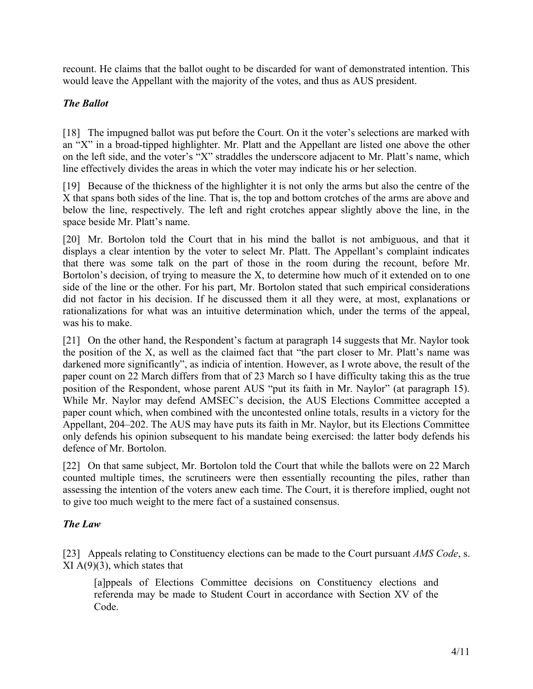recount. He claims that the ballot ought to be discarded for want of demonstrated intention. This would leave the Appellant with the majority of the votes, and thus as AUS president.

### *The Ballot*

[18] The impugned ballot was put before the Court. On it the voter's selections are marked with an "X" in a broad-tipped highlighter. Mr. Platt and the Appellant are listed one above the other on the left side, and the voter's "X" straddles the underscore adjacent to Mr. Platt's name, which line effectively divides the areas in which the voter may indicate his or her selection.

[19] Because of the thickness of the highlighter it is not only the arms but also the centre of the X that spans both sides of the line. That is, the top and bottom crotches of the arms are above and below the line, respectively. The left and right crotches appear slightly above the line, in the space beside Mr. Platt's name.

[20] Mr. Bortolon told the Court that in his mind the ballot is not ambiguous, and that it displays a clear intention by the voter to select Mr. Platt. The Appellant's complaint indicates that there was some talk on the part of those in the room during the recount, before Mr. Bortolon's decision, of trying to measure the  $X$ , to determine how much of it extended on to one side of the line or the other. For his part, Mr. Bortolon stated that such empirical considerations did not factor in his decision. If he discussed them it all they were, at most, explanations or rationalizations for what was an intuitive determination which, under the terms of the appeal, was his to make.

<span id="page-3-0"></span>[21] On the other hand, the Respondent's factum at paragraph 14 suggests that Mr. Naylor took the position of the X, as well as the claimed fact that "the part closer to Mr. Platt's name was darkened more significantly", as indicia of intention. However, as I wrote above, the result of the paper count on 22 March differs from that of 23 March so I have difficulty taking this as the true position of the Respondent, whose parent AUS "put its faith in Mr. Naylor" (at paragraph 15). While Mr. Naylor may defend AMSEC's decision, the AUS Elections Committee accepted a paper count which, when combined with the uncontested online totals, results in a victory for the Appellant, 204–202. The AUS may have puts its faith in Mr. Naylor, but its Elections Committee only defends his opinion subsequent to his mandate being exercised: the latter body defends his defence of Mr. Bortolon.

[22] On that same subject, Mr. Bortolon told the Court that while the ballots were on 22 March counted multiple times, the scrutineers were then essentially recounting the piles, rather than assessing the intention of the voters anew each time. The Court, it is therefore implied, ought not to give too much weight to the mere fact of a sustained consensus.

#### *The Law*

[23] Appeals relating to Constituency elections can be made to the Court pursuant *AMS Code*, s.  $XI A(9)(3)$ , which states that

[a]ppeals of Elections Committee decisions on Constituency elections and referenda may be made to Student Court in accordance with Section XV of the Code.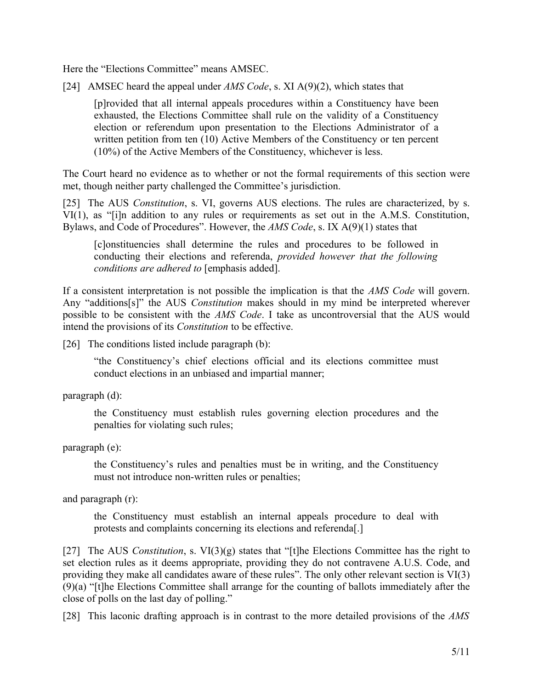Here the "Elections Committee" means AMSEC.

[24] AMSEC heard the appeal under *AMS Code*, s. XI A(9)(2), which states that

<span id="page-4-0"></span>[p]rovided that all internal appeals procedures within a Constituency have been exhausted, the Elections Committee shall rule on the validity of a Constituency election or referendum upon presentation to the Elections Administrator of a written petition from ten (10) Active Members of the Constituency or ten percent (10%) of the Active Members of the Constituency, whichever is less.

The Court heard no evidence as to whether or not the formal requirements of this section were met, though neither party challenged the Committee's jurisdiction.

[25] The AUS *Constitution*, s. VI, governs AUS elections. The rules are characterized, by s. VI(1), as "[i]n addition to any rules or requirements as set out in the A.M.S. Constitution, Bylaws, and Code of Procedures". However, the *AMS Code*, s. IX A(9)(1) states that

[c]onstituencies shall determine the rules and procedures to be followed in conducting their elections and referenda, *provided however that the following conditions are adhered to* [emphasis added].

If a consistent interpretation is not possible the implication is that the *AMS Code* will govern. Any "additions[s]" the AUS *Constitution* makes should in my mind be interpreted wherever possible to be consistent with the *AMS Code*. I take as uncontroversial that the AUS would intend the provisions of its *Constitution* to be effective.

[26] The conditions listed include paragraph (b):

"the Constituency's chief elections official and its elections committee must conduct elections in an unbiased and impartial manner;

paragraph (d):

the Constituency must establish rules governing election procedures and the penalties for violating such rules;

paragraph (e):

the Constituency's rules and penalties must be in writing, and the Constituency must not introduce non-written rules or penalties;

and paragraph (r):

the Constituency must establish an internal appeals procedure to deal with protests and complaints concerning its elections and referenda[.]

[27] The AUS *Constitution*, s. VI(3)(g) states that "[t]he Elections Committee has the right to set election rules as it deems appropriate, providing they do not contravene A.U.S. Code, and providing they make all candidates aware of these rules". The only other relevant section is VI(3) (9)(a) "[t]he Elections Committee shall arrange for the counting of ballots immediately after the close of polls on the last day of polling."

[28] This laconic drafting approach is in contrast to the more detailed provisions of the *AMS*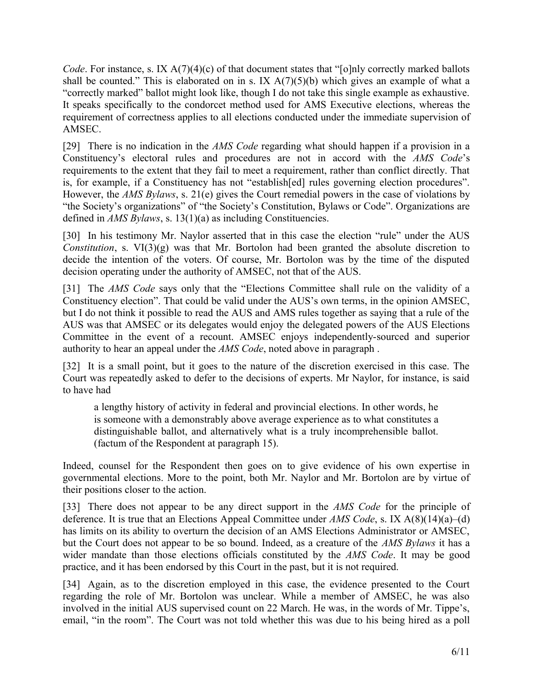*Code*. For instance, s. IX A(7)(4)(c) of that document states that "[o]nly correctly marked ballots shall be counted." This is elaborated on in s. IX  $A(7)(5)(b)$  which gives an example of what a "correctly marked" ballot might look like, though I do not take this single example as exhaustive. It speaks specifically to the condorcet method used for AMS Executive elections, whereas the requirement of correctness applies to all elections conducted under the immediate supervision of AMSEC.

[29] There is no indication in the *AMS Code* regarding what should happen if a provision in a Constituency's electoral rules and procedures are not in accord with the *AMS Code*'s requirements to the extent that they fail to meet a requirement, rather than conflict directly. That is, for example, if a Constituency has not "establish[ed] rules governing election procedures". However, the *AMS Bylaws*, s. 21(e) gives the Court remedial powers in the case of violations by "the Society's organizations" of "the Society's Constitution, Bylaws or Code". Organizations are defined in *AMS Bylaws*, s. 13(1)(a) as including Constituencies.

[30] In his testimony Mr. Naylor asserted that in this case the election "rule" under the AUS *Constitution*, s. VI(3)(g) was that Mr. Bortolon had been granted the absolute discretion to decide the intention of the voters. Of course, Mr. Bortolon was by the time of the disputed decision operating under the authority of AMSEC, not that of the AUS.

[31] The *AMS Code* says only that the "Elections Committee shall rule on the validity of a Constituency election". That could be valid under the AUS's own terms, in the opinion AMSEC, but I do not think it possible to read the AUS and AMS rules together as saying that a rule of the AUS was that AMSEC or its delegates would enjoy the delegated powers of the AUS Elections Committee in the event of a recount. AMSEC enjoys independently-sourced and superior authority to hear an appeal under the *AMS Code*, noted above in paragraph [.](#page-4-0)

[32] It is a small point, but it goes to the nature of the discretion exercised in this case. The Court was repeatedly asked to defer to the decisions of experts. Mr Naylor, for instance, is said to have had

a lengthy history of activity in federal and provincial elections. In other words, he is someone with a demonstrably above average experience as to what constitutes a distinguishable ballot, and alternatively what is a truly incomprehensible ballot. (factum of the Respondent at paragraph 15).

Indeed, counsel for the Respondent then goes on to give evidence of his own expertise in governmental elections. More to the point, both Mr. Naylor and Mr. Bortolon are by virtue of their positions closer to the action.

[33] There does not appear to be any direct support in the *AMS Code* for the principle of deference. It is true that an Elections Appeal Committee under *AMS Code*, s. IX A(8)(14)(a)–(d) has limits on its ability to overturn the decision of an AMS Elections Administrator or AMSEC, but the Court does not appear to be so bound. Indeed, as a creature of the *AMS Bylaws* it has a wider mandate than those elections officials constituted by the *AMS Code*. It may be good practice, and it has been endorsed by this Court in the past, but it is not required.

[34] Again, as to the discretion employed in this case, the evidence presented to the Court regarding the role of Mr. Bortolon was unclear. While a member of AMSEC, he was also involved in the initial AUS supervised count on 22 March. He was, in the words of Mr. Tippe's, email, "in the room". The Court was not told whether this was due to his being hired as a poll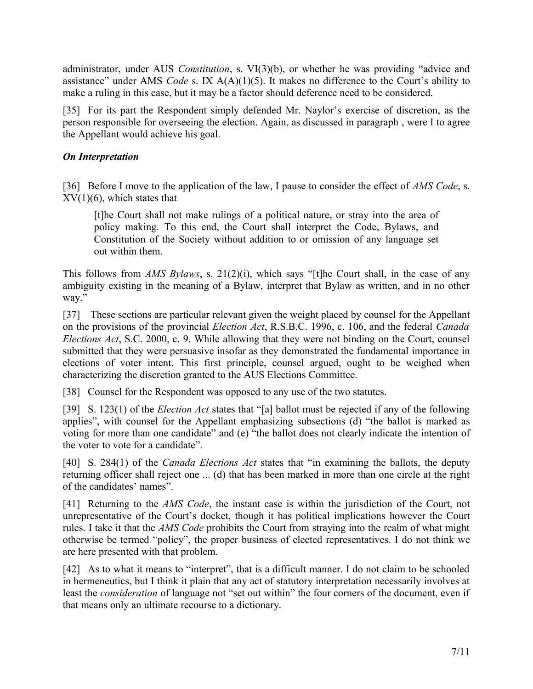administrator, under AUS *Constitution*, s. VI(3)(b), or whether he was providing "advice and assistance" under AMS *Code* s. IX A(A)(1)(5). It makes no difference to the Court's ability to make a ruling in this case, but it may be a factor should deference need to be considered.

[35] For its part the Respondent simply defended Mr. Naylor's exercise of discretion, as the person responsible for overseeing the election. Again, as discussed in paragraph [,](#page-3-0) were I to agree the Appellant would achieve his goal.

### *On Interpretation*

[36] Before I move to the application of the law, I pause to consider the effect of *AMS Code*, s.  $XV(1)(6)$ , which states that

[t]he Court shall not make rulings of a political nature, or stray into the area of policy making. To this end, the Court shall interpret the Code, Bylaws, and Constitution of the Society without addition to or omission of any language set out within them.

This follows from *AMS Bylaws*, s. 21(2)(i), which says "[t]he Court shall, in the case of any ambiguity existing in the meaning of a Bylaw, interpret that Bylaw as written, and in no other way."

[37] These sections are particular relevant given the weight placed by counsel for the Appellant on the provisions of the provincial *Election Act*, R.S.B.C. 1996, c. 106, and the federal *Canada Elections Act*, S.C. 2000, c. 9. While allowing that they were not binding on the Court, counsel submitted that they were persuasive insofar as they demonstrated the fundamental importance in elections of voter intent. This first principle, counsel argued, ought to be weighed when characterizing the discretion granted to the AUS Elections Committee.

[38] Counsel for the Respondent was opposed to any use of the two statutes.

[39] S. 123(1) of the *Election Act* states that "[a] ballot must be rejected if any of the following applies", with counsel for the Appellant emphasizing subsections (d) "the ballot is marked as voting for more than one candidate" and (e) "the ballot does not clearly indicate the intention of the voter to vote for a candidate".

[40] S. 284(1) of the *Canada Elections Act* states that "in examining the ballots, the deputy returning officer shall reject one ... (d) that has been marked in more than one circle at the right of the candidates' names".

[41] Returning to the *AMS Code*, the instant case is within the jurisdiction of the Court, not unrepresentative of the Court's docket, though it has political implications however the Court rules. I take it that the *AMS Code* prohibits the Court from straying into the realm of what might otherwise be termed "policy", the proper business of elected representatives. I do not think we are here presented with that problem.

[42] As to what it means to "interpret", that is a difficult manner. I do not claim to be schooled in hermeneutics, but I think it plain that any act of statutory interpretation necessarily involves at least the *consideration* of language not "set out within" the four corners of the document, even if that means only an ultimate recourse to a dictionary.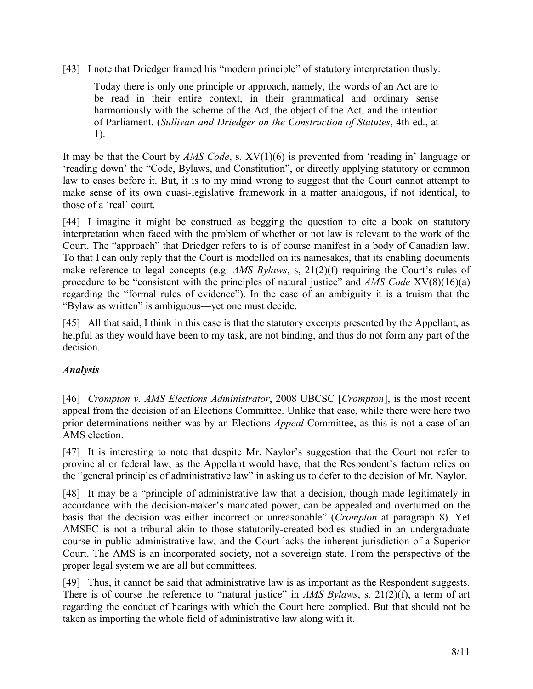[43] I note that Driedger framed his "modern principle" of statutory interpretation thusly:

Today there is only one principle or approach, namely, the words of an Act are to be read in their entire context, in their grammatical and ordinary sense harmoniously with the scheme of the Act, the object of the Act, and the intention of Parliament. (*Sullivan and Driedger on the Construction of Statutes*, 4th ed., at 1).

It may be that the Court by *AMS Code*, s. XV(1)(6) is prevented from 'reading in' language or 'reading down' the "Code, Bylaws, and Constitution", or directly applying statutory or common law to cases before it. But, it is to my mind wrong to suggest that the Court cannot attempt to make sense of its own quasi-legislative framework in a matter analogous, if not identical, to those of a 'real' court.

[44] I imagine it might be construed as begging the question to cite a book on statutory interpretation when faced with the problem of whether or not law is relevant to the work of the Court. The "approach" that Driedger refers to is of course manifest in a body of Canadian law. To that I can only reply that the Court is modelled on its namesakes, that its enabling documents make reference to legal concepts (e.g. *AMS Bylaws*, s, 21(2)(f) requiring the Court's rules of procedure to be "consistent with the principles of natural justice" and *AMS Code* XV(8)(16)(a) regarding the "formal rules of evidence"). In the case of an ambiguity it is a truism that the "Bylaw as written" is ambiguous—yet one must decide.

[45] All that said, I think in this case is that the statutory excerpts presented by the Appellant, as helpful as they would have been to my task, are not binding, and thus do not form any part of the decision.

## *Analysis*

[46] *Crompton v. AMS Elections Administrator*, 2008 UBCSC [*Crompton*], is the most recent appeal from the decision of an Elections Committee. Unlike that case, while there were here two prior determinations neither was by an Elections *Appeal* Committee, as this is not a case of an AMS election.

[47] It is interesting to note that despite Mr. Naylor's suggestion that the Court not refer to provincial or federal law, as the Appellant would have, that the Respondent's factum relies on the "general principles of administrative law" in asking us to defer to the decision of Mr. Naylor.

[48] It may be a "principle of administrative law that a decision, though made legitimately in accordance with the decision-maker's mandated power, can be appealed and overturned on the basis that the decision was either incorrect or unreasonable" (*Crompton* at paragraph 8). Yet AMSEC is not a tribunal akin to those statutorily-created bodies studied in an undergraduate course in public administrative law, and the Court lacks the inherent jurisdiction of a Superior Court. The AMS is an incorporated society, not a sovereign state. From the perspective of the proper legal system we are all but committees.

[49] Thus, it cannot be said that administrative law is as important as the Respondent suggests. There is of course the reference to "natural justice" in *AMS Bylaws*, s. 21(2)(f), a term of art regarding the conduct of hearings with which the Court here complied. But that should not be taken as importing the whole field of administrative law along with it.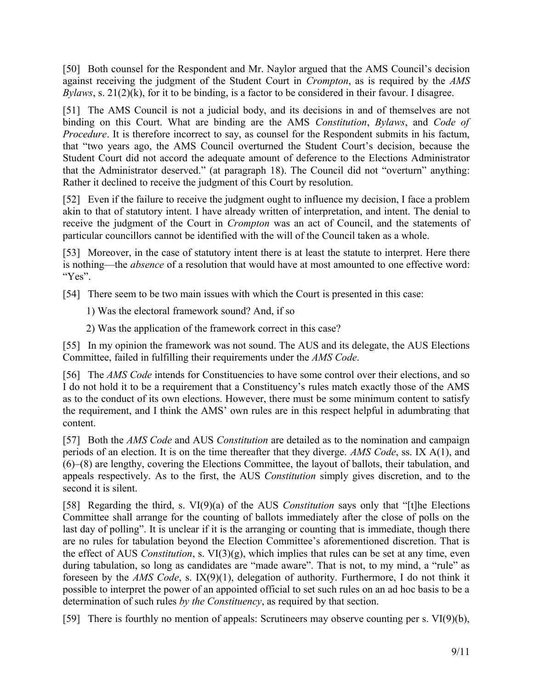[50] Both counsel for the Respondent and Mr. Naylor argued that the AMS Council's decision against receiving the judgment of the Student Court in *Crompton*, as is required by the *AMS Bylaws*, s. 21(2)(k), for it to be binding, is a factor to be considered in their favour. I disagree.

[51] The AMS Council is not a judicial body, and its decisions in and of themselves are not binding on this Court. What are binding are the AMS *Constitution*, *Bylaws*, and *Code of Procedure*. It is therefore incorrect to say, as counsel for the Respondent submits in his factum, that "two years ago, the AMS Council overturned the Student Court's decision, because the Student Court did not accord the adequate amount of deference to the Elections Administrator that the Administrator deserved." (at paragraph 18). The Council did not "overturn" anything: Rather it declined to receive the judgment of this Court by resolution.

[52] Even if the failure to receive the judgment ought to influence my decision, I face a problem akin to that of statutory intent. I have already written of interpretation, and intent. The denial to receive the judgment of the Court in *Crompton* was an act of Council, and the statements of particular councillors cannot be identified with the will of the Council taken as a whole.

[53] Moreover, in the case of statutory intent there is at least the statute to interpret. Here there is nothing—the *absence* of a resolution that would have at most amounted to one effective word: "Yes".

[54] There seem to be two main issues with which the Court is presented in this case:

1) Was the electoral framework sound? And, if so

2) Was the application of the framework correct in this case?

[55] In my opinion the framework was not sound. The AUS and its delegate, the AUS Elections Committee, failed in fulfilling their requirements under the *AMS Code*.

[56] The *AMS Code* intends for Constituencies to have some control over their elections, and so I do not hold it to be a requirement that a Constituency's rules match exactly those of the AMS as to the conduct of its own elections. However, there must be some minimum content to satisfy the requirement, and I think the AMS' own rules are in this respect helpful in adumbrating that content.

[57] Both the *AMS Code* and AUS *Constitution* are detailed as to the nomination and campaign periods of an election. It is on the time thereafter that they diverge. *AMS Code*, ss. IX A(1), and (6)–(8) are lengthy, covering the Elections Committee, the layout of ballots, their tabulation, and appeals respectively. As to the first, the AUS *Constitution* simply gives discretion, and to the second it is silent.

[58] Regarding the third, s. VI(9)(a) of the AUS *Constitution* says only that "[t]he Elections Committee shall arrange for the counting of ballots immediately after the close of polls on the last day of polling". It is unclear if it is the arranging or counting that is immediate, though there are no rules for tabulation beyond the Election Committee's aforementioned discretion. That is the effect of AUS *Constitution*, s. VI(3)(g), which implies that rules can be set at any time, even during tabulation, so long as candidates are "made aware". That is not, to my mind, a "rule" as foreseen by the *AMS Code*, s. IX(9)(1), delegation of authority. Furthermore, I do not think it possible to interpret the power of an appointed official to set such rules on an ad hoc basis to be a determination of such rules *by the Constituency*, as required by that section.

[59] There is fourthly no mention of appeals: Scrutineers may observe counting per s. VI(9)(b),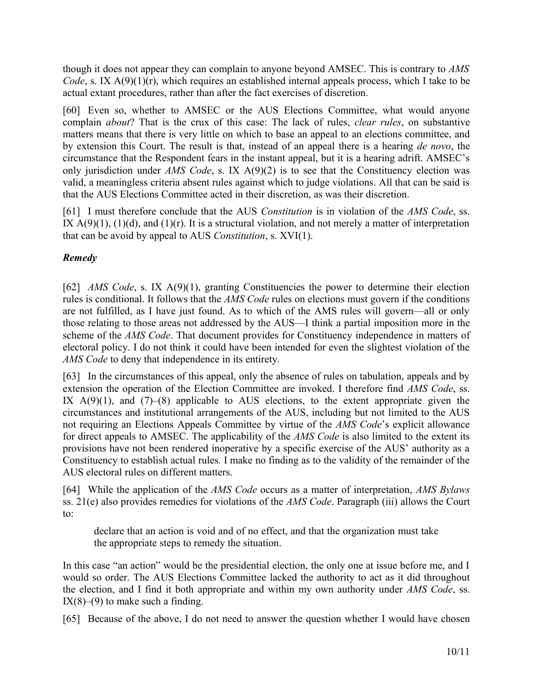though it does not appear they can complain to anyone beyond AMSEC. This is contrary to *AMS Code*, s. IX A(9)(1)(r), which requires an established internal appeals process, which I take to be actual extant procedures, rather than after the fact exercises of discretion.

[60] Even so, whether to AMSEC or the AUS Elections Committee, what would anyone complain *about*? That is the crux of this case: The lack of rules, *clear rules*, on substantive matters means that there is very little on which to base an appeal to an elections committee, and by extension this Court. The result is that, instead of an appeal there is a hearing *de novo*, the circumstance that the Respondent fears in the instant appeal, but it is a hearing adrift. AMSEC's only jurisdiction under *AMS Code*, s. IX A(9)(2) is to see that the Constituency election was valid, a meaningless criteria absent rules against which to judge violations. All that can be said is that the AUS Elections Committee acted in their discretion, as was their discretion.

[61] I must therefore conclude that the AUS *Constitution* is in violation of the *AMS Code*, ss. IX  $A(9)(1)$ ,  $(1)(d)$ , and  $(1)(r)$ . It is a structural violation, and not merely a matter of interpretation that can be avoid by appeal to AUS *Constitution*, s. XVI(1).

# *Remedy*

[62] *AMS Code*, s. IX A(9)(1), granting Constituencies the power to determine their election rules is conditional. It follows that the *AMS Code* rules on elections must govern if the conditions are not fulfilled, as I have just found. As to which of the AMS rules will govern—all or only those relating to those areas not addressed by the AUS—I think a partial imposition more in the scheme of the *AMS Code*. That document provides for Constituency independence in matters of electoral policy. I do not think it could have been intended for even the slightest violation of the *AMS Code* to deny that independence in its entirety.

<span id="page-9-0"></span>[63] In the circumstances of this appeal, only the absence of rules on tabulation, appeals and by extension the operation of the Election Committee are invoked. I therefore find *AMS Code*, ss. IX  $A(9)(1)$ , and  $(7)-(8)$  applicable to AUS elections, to the extent appropriate given the circumstances and institutional arrangements of the AUS, including but not limited to the AUS not requiring an Elections Appeals Committee by virtue of the *AMS Code*'s explicit allowance for direct appeals to AMSEC. The applicability of the *AMS Code* is also limited to the extent its provisions have not been rendered inoperative by a specific exercise of the AUS' authority as a Constituency to establish actual rules*.* I make no finding as to the validity of the remainder of the AUS electoral rules on different matters.

[64] While the application of the *AMS Code* occurs as a matter of interpretation, *AMS Bylaws* ss. 21(e) also provides remedies for violations of the *AMS Code*. Paragraph (iii) allows the Court to:

declare that an action is void and of no effect, and that the organization must take the appropriate steps to remedy the situation.

In this case "an action" would be the presidential election, the only one at issue before me, and I would so order. The AUS Elections Committee lacked the authority to act as it did throughout the election, and I find it both appropriate and within my own authority under *AMS Code*, ss.  $IX(8)–(9)$  to make such a finding.

[65] Because of the above, I do not need to answer the question whether I would have chosen